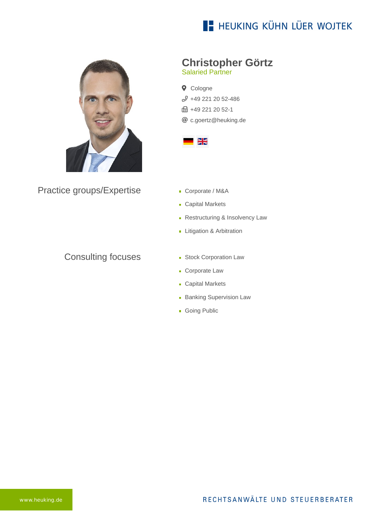## **E- HEUKING KÜHN LÜER WOJTEK**



Practice groups/Expertise

### Consulting focuses

# **Christopher Görtz**

Salaried Partner

**Q** Cologne [+49 221 20 52-486](tel:+492212052486) **B** +49 221 20 52-1 [c.goertz@heuking.de](mailto:c.goertz@heuking.de?subject=Contact%20via%20website%20heuking.de)



- Corporate / M&A
- **Capital Markets**
- **Restructuring & Insolvency Law**
- **Litigation & Arbitration**
- **Stock Corporation Law**
- **Corporate Law**
- **Capital Markets**
- **Banking Supervision Law**
- **Going Public**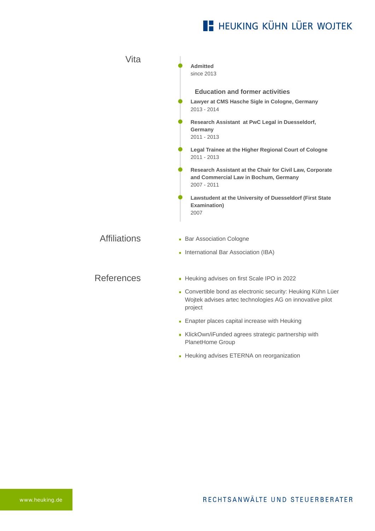# **E- HEUKING KÜHN LÜER WOJTEK**

| Vita                | <b>Admitted</b><br>since 2013                                                                                                       |
|---------------------|-------------------------------------------------------------------------------------------------------------------------------------|
|                     | <b>Education and former activities</b><br>Lawyer at CMS Hasche Sigle in Cologne, Germany<br>2013 - 2014                             |
|                     | Research Assistant at PwC Legal in Duesseldorf,<br>Germany<br>$2011 - 2013$                                                         |
|                     | Legal Trainee at the Higher Regional Court of Cologne<br>2011 - 2013                                                                |
|                     | Research Assistant at the Chair for Civil Law, Corporate<br>and Commercial Law in Bochum, Germany<br>2007 - 2011                    |
|                     | Lawstudent at the University of Duesseldorf (First State<br>Examination)<br>2007                                                    |
| <b>Affiliations</b> | • Bar Association Cologne                                                                                                           |
|                     | International Bar Association (IBA)                                                                                                 |
| <b>References</b>   | - Heuking advises on first Scale IPO in 2022                                                                                        |
|                     | - Convertible bond as electronic security: Heuking Kühn Lüer<br>Wojtek advises artec technologies AG on innovative pilot<br>project |
|                     | • Enapter places capital increase with Heuking                                                                                      |
|                     | KlickOwn/iFunded agrees strategic partnership with<br>PlanetHome Group                                                              |

**-** [Heuking advises ETERNA on reorganization](https://www.heuking.de/en/lawyers/detail/pdf-download.html?lawyer=561&cHash=4fe1c89063d978036d29b84319fc0f7a)